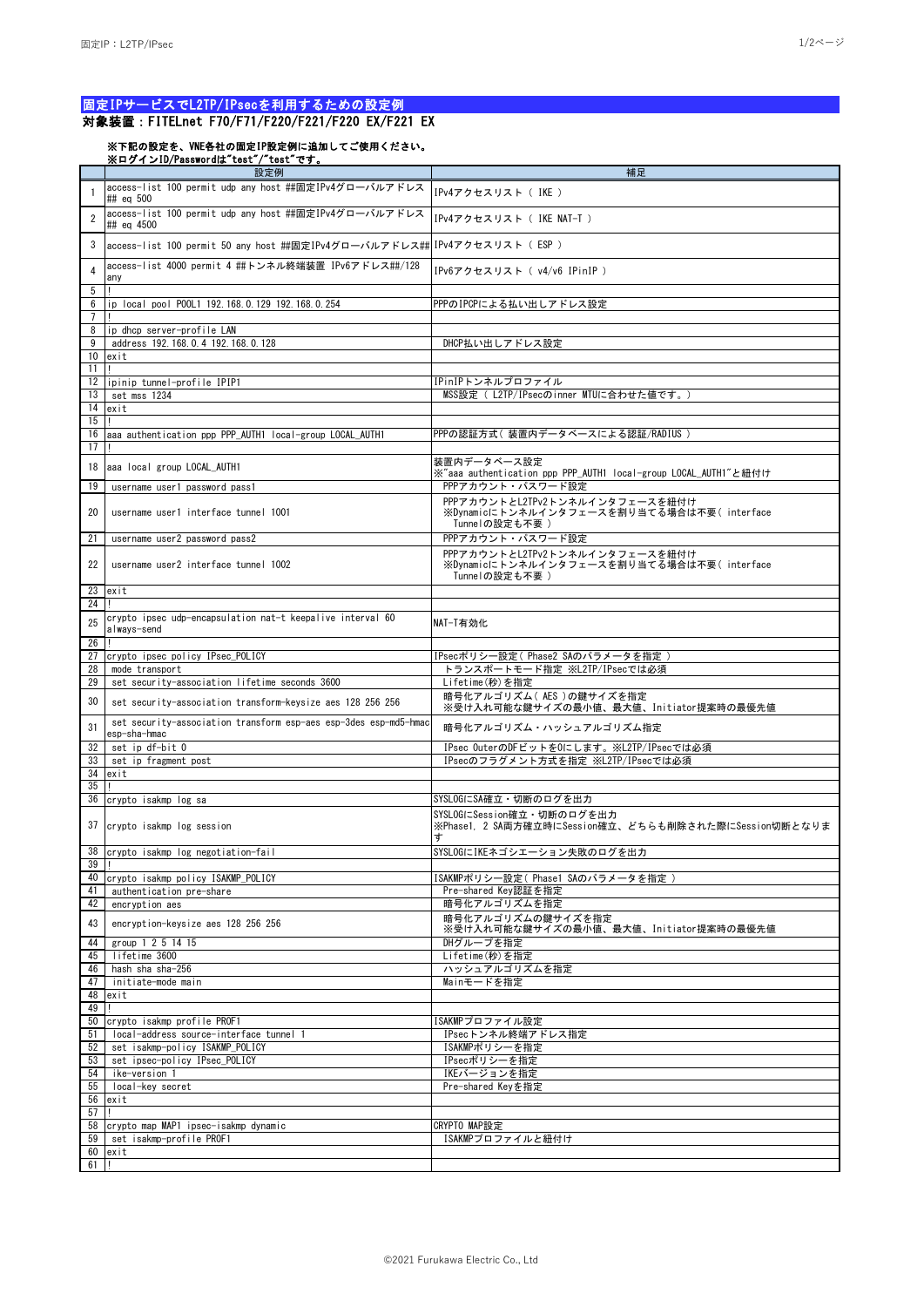## 固定IPサービスでL2TP/IPsecを利用するための設定例

## 対象装置:FITELnet F70/F71/F220/F221/F220 EX/F221 EX

## ※下記の設定を、VNE各社の固定IP設定例に追加してご使用ください。 ※ログインID/Passwordは"test"/"test"です。

|                      | 設定例                                                                              | 補足                                                                                           |
|----------------------|----------------------------------------------------------------------------------|----------------------------------------------------------------------------------------------|
|                      | access-list 100 permit udp any host ##固定IPv4グローバルアドレス<br>## ea 500               | IPv4アクセスリスト ( IKE )                                                                          |
| $\overline{2}$       | access-list 100 permit udp any host #個定IPv4グローバルアドレス<br>## eq 4500               | IPv4アクセスリスト ( IKE NAT-T )                                                                    |
| 3                    | access-list 100 permit 50 any host ##固定IPv4グローバルアドレス## IPv4アクセスリスト( ESP )        |                                                                                              |
| 4                    | access-list 4000 permit 4 ##トンネル終端装置 IPv6アドレス##/128<br>any                       | IPv6アクセスリスト ( v4/v6 IPinIP )                                                                 |
| 5<br>6               | ip local pool P00L1 192.168.0.129 192.168.0.254                                  | PPPのIPCPによる払い出しアドレス設定                                                                        |
| $7\overline{ }$<br>8 | ip dhcp server-profile LAN                                                       |                                                                                              |
| 9                    | address 192.168.0.4 192.168.0.128                                                | DHCP払い出しアドレス設定                                                                               |
| 10                   | exit                                                                             |                                                                                              |
| 11                   |                                                                                  |                                                                                              |
| 12                   | ipinip tunnel-profile IPIP1                                                      | IPinIPトンネルプロファイル                                                                             |
| 13                   | set mss 1234                                                                     | MSS設定 (L2TP/IPsecのinner MTUに合わせた値です。)                                                        |
| 14                   | exit                                                                             |                                                                                              |
| 15                   |                                                                                  |                                                                                              |
| 16                   | aaa authentication ppp PPP_AUTH1 local-group LOCAL_AUTH1                         | PPPの認証方式( 装置内データベースによる認証/RADIUS )                                                            |
| 17                   |                                                                                  |                                                                                              |
|                      |                                                                                  |                                                                                              |
| 18                   | aaa local group LOCAL_AUTH1                                                      | 装置内データベース設定<br>※"aaa authentication ppp PPP_AUTH1 local-group LOCAL_AUTH1"と紐付け               |
| 19                   | username user1 password pass1                                                    | PPPアカウント・パスワード設定                                                                             |
| 20                   | username user1 interface tunnel 1001                                             | PPPアカウントとL2TPv2トンネルインタフェースを紐付け<br>※Dynamicにトンネルインタフェースを割り当てる場合は不要(interface<br>Tunnelの設定も不要) |
| 21                   | username user2 password pass2                                                    | PPPアカウント・パスワード設定                                                                             |
| 22                   | username user2 interface tunnel 1002                                             | PPPアカウントとL2TPv2トンネルインタフェースを紐付け<br>※Dynamicにトンネルインタフェースを割り当てる場合は不要(interface<br>Tunnelの設定も不要) |
| 23                   | exit                                                                             |                                                                                              |
| 24                   |                                                                                  |                                                                                              |
| 25                   | crypto ipsec udp-encapsulation nat-t keepalive interval 60<br>always-send        | NAT-T有効化                                                                                     |
| 26                   |                                                                                  |                                                                                              |
| 27                   | crypto ipsec policy IPsec POLICY                                                 | IPsecポリシ―設定( Phase2 SAのパラメ―タを指定 )                                                            |
| 28                   | mode transport                                                                   | トランスポートモード指定 ※L2TP/IPsecでは必須                                                                 |
| 29                   | set security-association lifetime seconds 3600                                   | Lifetime(秒)を指定                                                                               |
| 30                   | set security-association transform-keysize aes 128 256 256                       | 暗号化アルゴリズム(AES)の鍵サイズを指定<br>※受け入れ可能な鍵サイズの最小値、最大値、Initiator提案時の最優先値                             |
| 31                   | set security-association transform esp-aes esp-3des esp-md5-hmac<br>esp-sha-hmac | 暗号化アルゴリズム・ハッシュアルゴリズム指定                                                                       |
| 32                   | set ip df-bit 0                                                                  | IPsec OuterのDFビットをOにします。※L2TP/IPsecでは必須                                                      |
| 33                   | set ip fragment post                                                             | IPsecのフラグメント方式を指定 ※L2TP/IPsecでは必須                                                            |
| 34                   | exit                                                                             |                                                                                              |
| 35                   |                                                                                  |                                                                                              |
| 36                   | crypto isakmp log sa                                                             | SYSLOGにSA確立・切断のログを出力                                                                         |
| 37                   | crypto isakmp log session                                                        | SYSLOGにSession確立・切断のログを出力<br>※Phase1. 2 SA両方確立時にSession確立、どちらも削除された際にSession切断となりま<br>ォ      |
|                      | 38 crypto isakmp log negotiation-fail                                            | SYSLOGにIKEネゴシエーション失敗のログを出力                                                                   |
| 39 I<br>40           |                                                                                  |                                                                                              |
|                      | crypto isakmp policy ISAKMP_POLICY                                               | ISAKMPポリシ―設定( Phase1 SAのパラメ―タを指定 )                                                           |
| 41                   | authentication pre-share                                                         | Pre-shared Key認証を指定                                                                          |
| 42                   | encryption aes                                                                   | 暗号化アルゴリズムを指定                                                                                 |
| 43                   | encryption-keysize aes 128 256 256                                               | 暗号化アルゴリズムの鍵サイズを指定<br>※受け入れ可能な鍵サイズの最小値、最大値、Initiator提案時の最優先値                                  |
| 44                   | group 1 2 5 14 15                                                                | DHグループを指定                                                                                    |
| 45                   | lifetime 3600                                                                    | Lifetime(秒)を指定                                                                               |
| 46                   | hash sha sha-256                                                                 | ハッシュアルゴリズムを指定                                                                                |
| 47                   | initiate-mode main                                                               | Mainモードを指定                                                                                   |
| 48                   | exit                                                                             |                                                                                              |
| 49                   |                                                                                  |                                                                                              |
| 50                   | crypto isakmp profile PROF1                                                      | ISAKMPプロファイル設定                                                                               |
| 51                   | local-address source-interface tunnel 1                                          | IPsecトンネル終端アドレス指定                                                                            |
| 52                   | set isakmp-policy ISAKMP_POLICY                                                  | ISAKMPポリシーを指定                                                                                |
| 53                   | set ipsec-policy IPsec POLICY                                                    | IPsecポリシーを指定                                                                                 |
| 54                   | ike-version 1                                                                    | IKEバージョンを指定                                                                                  |
| 55                   | local-key secret                                                                 |                                                                                              |
|                      |                                                                                  | Pre-shared Keyを指定                                                                            |
| 56                   | exit                                                                             |                                                                                              |
| 57                   |                                                                                  |                                                                                              |
| 58                   | crypto map MAP1 ipsec-isakmp dynamic                                             | CRYPTO MAP設定                                                                                 |
| 59                   | set isakmp-profile PROF1                                                         | ISAKMPプロファイルと紐付け                                                                             |
| 60                   | exit                                                                             |                                                                                              |
| 61                   | п                                                                                |                                                                                              |